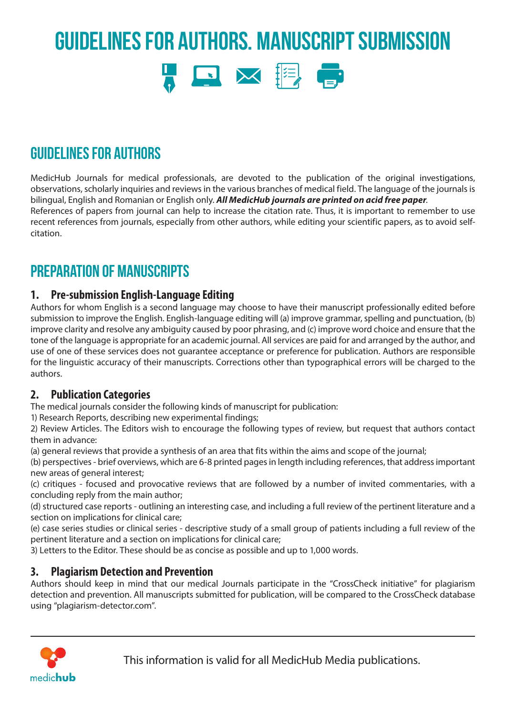# Guidelines for Authors. Manuscript Submission



## Guidelines for Authors

MedicHub Journals for medical professionals, are devoted to the publication of the original investigations, observations, scholarly inquiries and reviews in the various branches of medical field. The language of the journals is bilingual, English and Romanian or English only. *All MedicHub journals are printed on acid free paper*. References of papers from journal can help to increase the citation rate. Thus, it is important to remember to use

recent references from journals, especially from other authors, while editing your scientific papers, as to avoid selfcitation.

## PREPARATION OF MANUSCRIPTS

#### **1. Pre-submission English-Language Editing**

Authors for whom English is a second language may choose to have their manuscript professionally edited before submission to improve the English. English-language editing will (a) improve grammar, spelling and punctuation, (b) improve clarity and resolve any ambiguity caused by poor phrasing, and (c) improve word choice and ensure that the tone of the language is appropriate for an academic journal. All services are paid for and arranged by the author, and use of one of these services does not guarantee acceptance or preference for publication. Authors are responsible for the linguistic accuracy of their manuscripts. Corrections other than typographical errors will be charged to the authors.

#### **2. Publication Categories**

The medical journals consider the following kinds of manuscript for publication:

1) Research Reports, describing new experimental findings;

2) Review Articles. The Editors wish to encourage the following types of review, but request that authors contact them in advance:

(a) general reviews that provide a synthesis of an area that fits within the aims and scope of the journal;

(b) perspectives - brief overviews, which are 6-8 printed pages in length including references, that address important new areas of general interest;

(c) critiques - focused and provocative reviews that are followed by a number of invited commentaries, with a concluding reply from the main author;

(d) structured case reports - outlining an interesting case, and including a full review of the pertinent literature and a section on implications for clinical care;

(e) case series studies or clinical series - descriptive study of a small group of patients including a full review of the pertinent literature and a section on implications for clinical care;

3) Letters to the Editor. These should be as concise as possible and up to 1,000 words.

#### **3. Plagiarism Detection and Prevention**

Authors should keep in mind that our medical Journals participate in the "CrossCheck initiative" for plagiarism detection and prevention. All manuscripts submitted for publication, will be compared to the CrossCheck database using "plagiarism-detector.com".

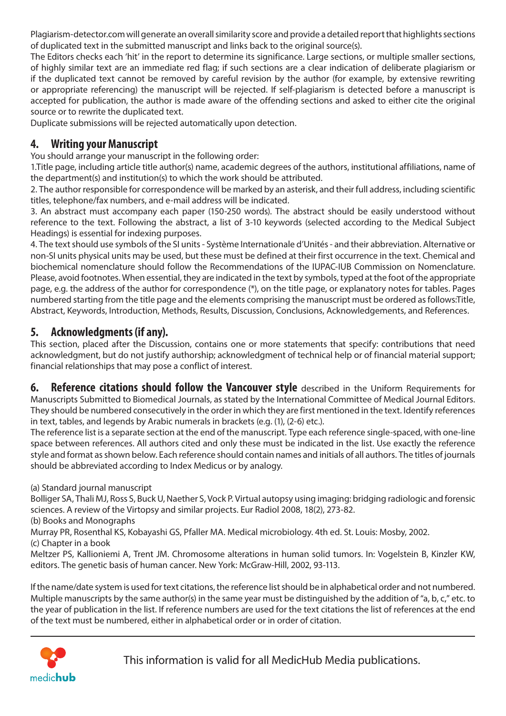Plagiarism-detector.com will generate an overall similarity score and provide a detailed report that highlights sections of duplicated text in the submitted manuscript and links back to the original source(s).

The Editors checks each 'hit' in the report to determine its significance. Large sections, or multiple smaller sections, of highly similar text are an immediate red flag; if such sections are a clear indication of deliberate plagiarism or if the duplicated text cannot be removed by careful revision by the author (for example, by extensive rewriting or appropriate referencing) the manuscript will be rejected. If self-plagiarism is detected before a manuscript is accepted for publication, the author is made aware of the offending sections and asked to either cite the original source or to rewrite the duplicated text.

Duplicate submissions will be rejected automatically upon detection.

#### **4. Writing your Manuscript**

You should arrange your manuscript in the following order:

1.Title page, including article title author(s) name, academic degrees of the authors, institutional affiliations, name of the department(s) and institution(s) to which the work should be attributed.

2. The author responsible for correspondence will be marked by an asterisk, and their full address, including scientific titles, telephone/fax numbers, and e-mail address will be indicated.

3. An abstract must accompany each paper (150-250 words). The abstract should be easily understood without reference to the text. Following the abstract, a list of 3-10 keywords (selected according to the Medical Subject Headings) is essential for indexing purposes.

4. The text should use symbols of the SI units - Système Internationale d'Unités - and their abbreviation. Alternative or non-SI units physical units may be used, but these must be defined at their first occurrence in the text. Chemical and biochemical nomenclature should follow the Recommendations of the IUPAC-IUB Commission on Nomenclature. Please, avoid footnotes. When essential, they are indicated in the text by symbols, typed at the foot of the appropriate page, e.g. the address of the author for correspondence (\*), on the title page, or explanatory notes for tables. Pages numbered starting from the title page and the elements comprising the manuscript must be ordered as follows:Title, Abstract, Keywords, Introduction, Methods, Results, Discussion, Conclusions, Acknowledgements, and References.

#### **5. Acknowledgments (if any).**

This section, placed after the Discussion, contains one or more statements that specify: contributions that need acknowledgment, but do not justify authorship; acknowledgment of technical help or of financial material support; financial relationships that may pose a conflict of interest.

**6. Reference citations should follow the Vancouver style** described in the Uniform Requirements for Manuscripts Submitted to Biomedical Journals, as stated by the International Committee of Medical Journal Editors. They should be numbered consecutively in the order in which they are first mentioned in the text. Identify references in text, tables, and legends by Arabic numerals in brackets (e.g. (1), (2-6) etc.).

The reference list is a separate section at the end of the manuscript. Type each reference single-spaced, with one-line space between references. All authors cited and only these must be indicated in the list. Use exactly the reference style and format as shown below. Each reference should contain names and initials of all authors. The titles of journals should be abbreviated according to Index Medicus or by analogy.

#### (a) Standard journal manuscript

Bolliger SA, Thali MJ, Ross S, Buck U, Naether S, Vock P. Virtual autopsy using imaging: bridging radiologic and forensic sciences. A review of the Virtopsy and similar projects. Eur Radiol 2008, 18(2), 273-82.

(b) Books and Monographs

Murray PR, Rosenthal KS, Kobayashi GS, Pfaller MA. Medical microbiology. 4th ed. St. Louis: Mosby, 2002. (c) Chapter in a book

Meltzer PS, Kallioniemi A, Trent JM. Chromosome alterations in human solid tumors. In: Vogelstein B, Kinzler KW, editors. The genetic basis of human cancer. New York: McGraw-Hill, 2002, 93-113.

If the name/date system is used for text citations, the reference list should be in alphabetical order and not numbered. Multiple manuscripts by the same author(s) in the same year must be distinguished by the addition of "a, b, c," etc. to the year of publication in the list. If reference numbers are used for the text citations the list of references at the end of the text must be numbered, either in alphabetical order or in order of citation.

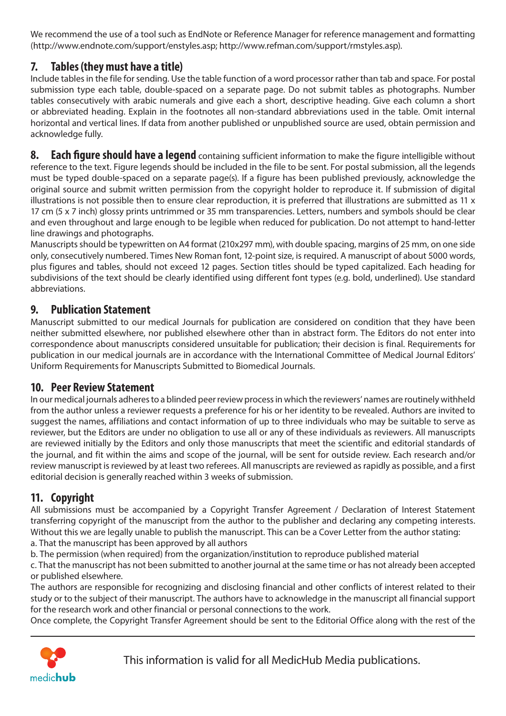We recommend the use of a tool such as EndNote or Reference Manager for reference management and formatting (http://www.endnote.com/support/enstyles.asp; http://www.refman.com/support/rmstyles.asp).

### **7. Tables (they must have a title)**

Include tables in the file for sending. Use the table function of a word processor rather than tab and space. For postal submission type each table, double-spaced on a separate page. Do not submit tables as photographs. Number tables consecutively with arabic numerals and give each a short, descriptive heading. Give each column a short or abbreviated heading. Explain in the footnotes all non-standard abbreviations used in the table. Omit internal horizontal and vertical lines. If data from another published or unpublished source are used, obtain permission and acknowledge fully.

**8. Each figure should have a legend** containing sufficient information to make the figure intelligible without reference to the text. Figure legends should be included in the file to be sent. For postal submission, all the legends must be typed double-spaced on a separate page(s). If a figure has been published previously, acknowledge the original source and submit written permission from the copyright holder to reproduce it. If submission of digital illustrations is not possible then to ensure clear reproduction, it is preferred that illustrations are submitted as 11  $x$ 17 cm (5 x 7 inch) glossy prints untrimmed or 35 mm transparencies. Letters, numbers and symbols should be clear and even throughout and large enough to be legible when reduced for publication. Do not attempt to hand-letter line drawings and photographs.

Manuscripts should be typewritten on A4 format (210x297 mm), with double spacing, margins of 25 mm, on one side only, consecutively numbered. Times New Roman font, 12-point size, is required. A manuscript of about 5000 words, plus figures and tables, should not exceed 12 pages. Section titles should be typed capitalized. Each heading for subdivisions of the text should be clearly identified using different font types (e.g. bold, underlined). Use standard abbreviations.

#### **9. Publication Statement**

Manuscript submitted to our medical Journals for publication are considered on condition that they have been neither submitted elsewhere, nor published elsewhere other than in abstract form. The Editors do not enter into correspondence about manuscripts considered unsuitable for publication; their decision is final. Requirements for publication in our medical journals are in accordance with the International Committee of Medical Journal Editors' Uniform Requirements for Manuscripts Submitted to Biomedical Journals.

#### **10. Peer Review Statement**

In our medical journals adheres to a blinded peer review process in which the reviewers' names are routinely withheld from the author unless a reviewer requests a preference for his or her identity to be revealed. Authors are invited to suggest the names, affiliations and contact information of up to three individuals who may be suitable to serve as reviewer, but the Editors are under no obligation to use all or any of these individuals as reviewers. All manuscripts are reviewed initially by the Editors and only those manuscripts that meet the scientific and editorial standards of the journal, and fit within the aims and scope of the journal, will be sent for outside review. Each research and/or review manuscript is reviewed by at least two referees. All manuscripts are reviewed as rapidly as possible, and a first editorial decision is generally reached within 3 weeks of submission.

### **11. Copyright**

All submissions must be accompanied by a Copyright Transfer Agreement / Declaration of Interest Statement transferring copyright of the manuscript from the author to the publisher and declaring any competing interests. Without this we are legally unable to publish the manuscript. This can be a Cover Letter from the author stating:

a. That the manuscript has been approved by all authors

b. The permission (when required) from the organization/institution to reproduce published material

c. That the manuscript has not been submitted to another journal at the same time or has not already been accepted or published elsewhere.

The authors are responsible for recognizing and disclosing financial and other conflicts of interest related to their study or to the subject of their manuscript. The authors have to acknowledge in the manuscript all financial support for the research work and other financial or personal connections to the work.

Once complete, the Copyright Transfer Agreement should be sent to the Editorial Office along with the rest of the

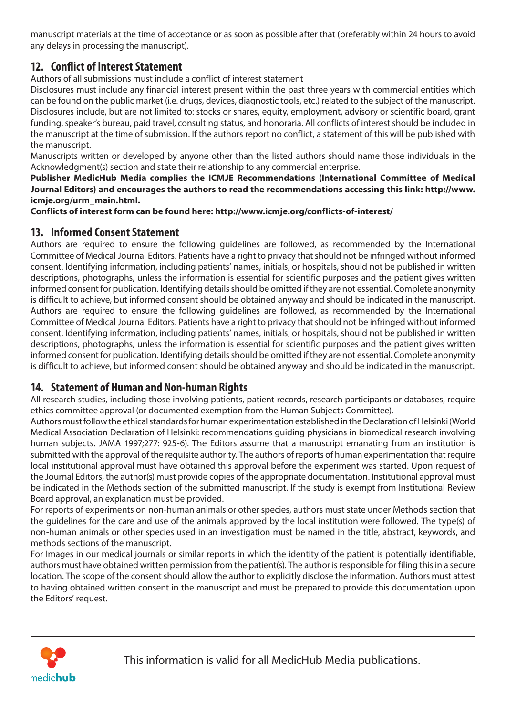manuscript materials at the time of acceptance or as soon as possible after that (preferably within 24 hours to avoid any delays in processing the manuscript).

### **12. Conflict of Interest Statement**

Authors of all submissions must include a conflict of interest statement

Disclosures must include any financial interest present within the past three years with commercial entities which can be found on the public market (i.e. drugs, devices, diagnostic tools, etc.) related to the subject of the manuscript. Disclosures include, but are not limited to: stocks or shares, equity, employment, advisory or scientific board, grant funding, speaker's bureau, paid travel, consulting status, and honoraria. All conflicts of interest should be included in the manuscript at the time of submission. If the authors report no conflict, a statement of this will be published with the manuscript.

Manuscripts written or developed by anyone other than the listed authors should name those individuals in the Acknowledgment(s) section and state their relationship to any commercial enterprise.

**Publisher MedicHub Media complies the ICMJE Recommendations (International Committee of Medical Journal Editors) and encourages the authors to read the recommendations accessing this link: http://www. icmje.org/urm\_main.html.**

**Conflicts of interest form can be found here: http://www.icmje.org/conflicts-of-interest/**

#### **13. Informed Consent Statement**

Authors are required to ensure the following guidelines are followed, as recommended by the International Committee of Medical Journal Editors. Patients have a right to privacy that should not be infringed without informed consent. Identifying information, including patients' names, initials, or hospitals, should not be published in written descriptions, photographs, unless the information is essential for scientific purposes and the patient gives written informed consent for publication. Identifying details should be omitted if they are not essential. Complete anonymity is difficult to achieve, but informed consent should be obtained anyway and should be indicated in the manuscript. Authors are required to ensure the following guidelines are followed, as recommended by the International Committee of Medical Journal Editors. Patients have a right to privacy that should not be infringed without informed consent. Identifying information, including patients' names, initials, or hospitals, should not be published in written descriptions, photographs, unless the information is essential for scientific purposes and the patient gives written informed consent for publication. Identifying details should be omitted if they are not essential. Complete anonymity is difficult to achieve, but informed consent should be obtained anyway and should be indicated in the manuscript.

#### **14. Statement of Human and Non-human Rights**

All research studies, including those involving patients, patient records, research participants or databases, require ethics committee approval (or documented exemption from the Human Subjects Committee).

Authors must follow the ethical standards for human experimentation established in the Declaration of Helsinki (World Medical Association Declaration of Helsinki: recommendations guiding physicians in biomedical research involving human subjects. JAMA 1997;277: 925-6). The Editors assume that a manuscript emanating from an institution is submitted with the approval of the requisite authority. The authors of reports of human experimentation that require local institutional approval must have obtained this approval before the experiment was started. Upon request of the Journal Editors, the author(s) must provide copies of the appropriate documentation. Institutional approval must be indicated in the Methods section of the submitted manuscript. If the study is exempt from Institutional Review Board approval, an explanation must be provided.

For reports of experiments on non-human animals or other species, authors must state under Methods section that the guidelines for the care and use of the animals approved by the local institution were followed. The type(s) of non-human animals or other species used in an investigation must be named in the title, abstract, keywords, and methods sections of the manuscript.

For Images in our medical journals or similar reports in which the identity of the patient is potentially identifiable, authors must have obtained written permission from the patient(s). The author is responsible for filing this in a secure location. The scope of the consent should allow the author to explicitly disclose the information. Authors must attest to having obtained written consent in the manuscript and must be prepared to provide this documentation upon the Editors' request.